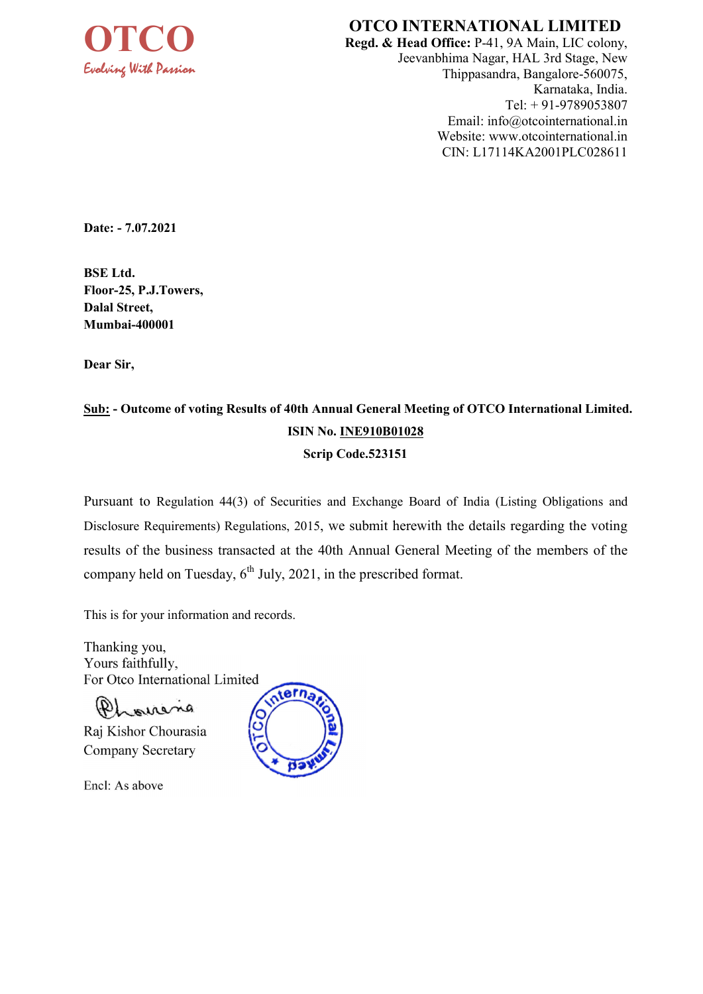

# OTCO INTERNATIONAL LIMITED

Regd. & Head Office: P-41, 9A Main, LIC colony, Jeevanbhima Nagar, HAL 3rd Stage, New Thippasandra, Bangalore-560075, Karnataka, India. Tel: + 91-9789053807 Email: info@otcointernational.in Website: www.otcointernational.in CIN: L17114KA2001PLC028611

Date: - 7.07.2021

BSE Ltd. Floor-25, P.J.Towers, Dalal Street, Mumbai-400001

Dear Sir,

# Sub: - Outcome of voting Results of 40th Annual General Meeting of OTCO International Limited. ISIN No. INE910B01028 Scrip Code.523151

Pursuant to Regulation 44(3) of Securities and Exchange Board of India (Listing Obligations and Disclosure Requirements) Regulations, 2015, we submit herewith the details regarding the voting results of the business transacted at the 40th Annual General Meeting of the members of the company held on Tuesday,  $6<sup>th</sup>$  July, 2021, in the prescribed format.

This is for your information and records.

Thanking you, Yours faithfully, For Otco International Limited

Phonena

Raj Kishor Chourasia Company Secretary

Encl: As above

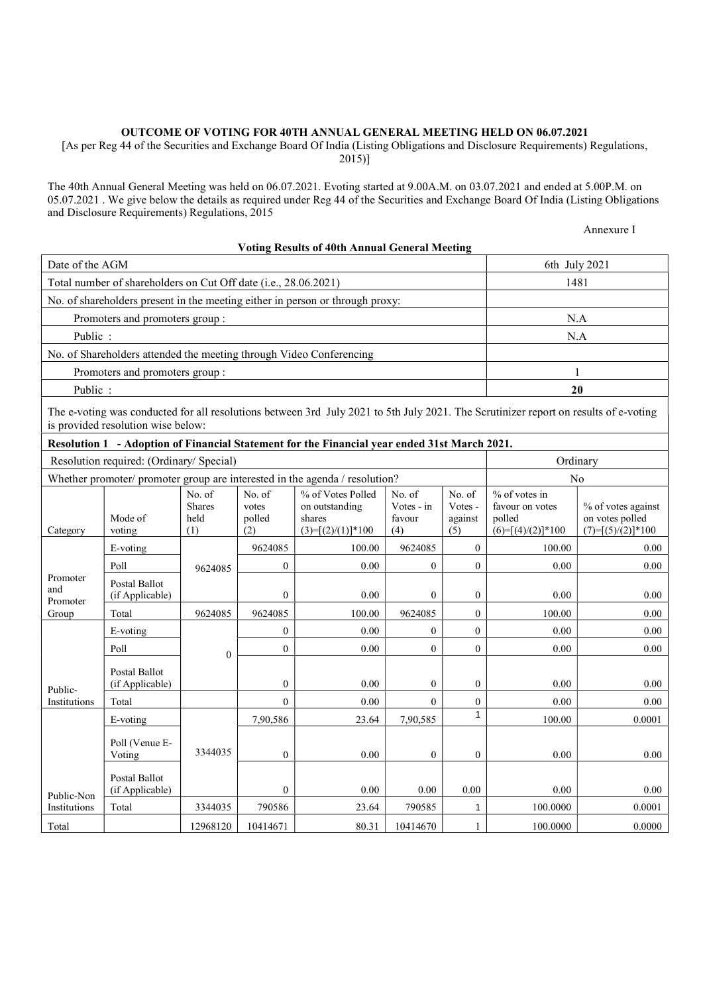#### OUTCOME OF VOTING FOR 40TH ANNUAL GENERAL MEETING HELD ON 06.07.2021

[As per Reg 44 of the Securities and Exchange Board Of India (Listing Obligations and Disclosure Requirements) Regulations, 2015)]

The 40th Annual General Meeting was held on 06.07.2021. Evoting started at 9.00A.M. on 03.07.2021 and ended at 5.00P.M. on 05.07.2021 . We give below the details as required under Reg 44 of the Securities and Exchange Board Of India (Listing Obligations and Disclosure Requirements) Regulations, 2015

Annexure I

#### Voting Results of 40th Annual General Meeting

| Date of the AGM             |                                                                                                 | 6th July 2021                          |                                  |                                                                                                                                      |                                       |                                     |                                                                   |                                                              |
|-----------------------------|-------------------------------------------------------------------------------------------------|----------------------------------------|----------------------------------|--------------------------------------------------------------------------------------------------------------------------------------|---------------------------------------|-------------------------------------|-------------------------------------------------------------------|--------------------------------------------------------------|
|                             | Total number of shareholders on Cut Off date (i.e., 28.06.2021)                                 |                                        | 1481                             |                                                                                                                                      |                                       |                                     |                                                                   |                                                              |
|                             | No. of shareholders present in the meeting either in person or through proxy:                   |                                        |                                  |                                                                                                                                      |                                       |                                     |                                                                   |                                                              |
|                             | Promoters and promoters group:                                                                  |                                        |                                  |                                                                                                                                      |                                       |                                     |                                                                   | N.A                                                          |
| Public:                     |                                                                                                 |                                        |                                  |                                                                                                                                      |                                       |                                     | N.A                                                               |                                                              |
|                             |                                                                                                 |                                        |                                  | No. of Shareholders attended the meeting through Video Conferencing                                                                  |                                       |                                     |                                                                   |                                                              |
|                             | Promoters and promoters group:                                                                  |                                        |                                  |                                                                                                                                      |                                       |                                     |                                                                   | $\mathbf{1}$                                                 |
| Public:                     |                                                                                                 |                                        |                                  |                                                                                                                                      |                                       |                                     |                                                                   | 20                                                           |
|                             | is provided resolution wise below:                                                              |                                        |                                  | The e-voting was conducted for all resolutions between 3rd July 2021 to 5th July 2021. The Scrutinizer report on results of e-voting |                                       |                                     |                                                                   |                                                              |
|                             |                                                                                                 |                                        |                                  | Resolution 1 - Adoption of Financial Statement for the Financial year ended 31st March 2021.                                         |                                       |                                     |                                                                   |                                                              |
|                             | Resolution required: (Ordinary/ Special)                                                        |                                        |                                  |                                                                                                                                      |                                       |                                     |                                                                   | Ordinary                                                     |
|                             |                                                                                                 |                                        |                                  | Whether promoter/ promoter group are interested in the agenda / resolution?                                                          |                                       |                                     |                                                                   | No                                                           |
| Category                    | Mode of<br>voting                                                                               | No. of<br><b>Shares</b><br>held<br>(1) | No. of<br>votes<br>polled<br>(2) | % of Votes Polled<br>on outstanding<br>shares<br>$(3)=[(2)/(1)]*100$                                                                 | No. of<br>Votes - in<br>favour<br>(4) | No. of<br>Votes -<br>against<br>(5) | % of votes in<br>favour on votes<br>polled<br>$(6)=[(4)/(2)]*100$ | % of votes against<br>on votes polled<br>$(7)=[(5)/(2)]*100$ |
|                             | E-voting                                                                                        |                                        | 9624085                          | 100.00                                                                                                                               | 9624085                               | $\theta$                            | 100.00                                                            | 0.00                                                         |
|                             | Poll                                                                                            | 9624085                                | $\boldsymbol{0}$                 | 0.00                                                                                                                                 | $\boldsymbol{0}$                      | $\boldsymbol{0}$                    | 0.00                                                              | 0.00                                                         |
| Promoter<br>and<br>Promoter | Postal Ballot<br>(if Applicable)                                                                |                                        | $\mathbf{0}$                     | 0.00                                                                                                                                 | $\overline{0}$                        | $\overline{0}$                      | 0.00                                                              | 0.00                                                         |
| Group                       | Total                                                                                           | 9624085                                | 9624085                          | 100.00                                                                                                                               | 9624085                               | $\boldsymbol{0}$                    | 100.00                                                            | 0.00                                                         |
|                             | E-voting                                                                                        |                                        | $\mathbf{0}$                     | 0.00                                                                                                                                 | $\overline{0}$                        | $\overline{0}$                      | 0.00                                                              | 0.00                                                         |
|                             | Poll                                                                                            | $\mathbf{0}$                           | $\theta$                         | 0.00                                                                                                                                 | $\overline{0}$                        | $\overline{0}$                      | 0.00                                                              | 0.00                                                         |
| Public-                     | Postal Ballot<br>(if Applicable)                                                                |                                        | $\overline{0}$                   | 0.00                                                                                                                                 | $\mathbf{0}$                          | $\boldsymbol{0}$                    | 0.00                                                              | 0.00                                                         |
| Institutions                | Total                                                                                           |                                        | $\Omega$                         | 0.00                                                                                                                                 | $\overline{0}$                        | $\overline{0}$                      | 0.00                                                              | 0.00                                                         |
|                             | E-voting                                                                                        |                                        | 7,90,586                         | 23.64                                                                                                                                | 7,90,585                              | $\mathbf{1}$                        | 100.00                                                            | 0.0001                                                       |
|                             | Poll (Venue E-<br>3344035<br>$\mathbf{0}$<br>0.00<br>$\overline{0}$<br>$\overline{0}$<br>Voting |                                        |                                  |                                                                                                                                      |                                       |                                     |                                                                   | 0.00                                                         |
| Public-Non                  | Postal Ballot<br>(if Applicable)                                                                |                                        | $\mathbf{0}$                     | 0.00                                                                                                                                 | 0.00                                  | 0.00                                | $0.00\,$                                                          | $0.00\,$                                                     |
| Institutions                | Total                                                                                           | 3344035                                | 790586                           | 23.64                                                                                                                                | 790585                                | 1                                   | 100.0000                                                          | 0.0001                                                       |
| Total                       |                                                                                                 | 12968120                               | 10414671                         | 80.31                                                                                                                                | 10414670                              | $\mathbf{1}$                        | 100.0000                                                          | 0.0000                                                       |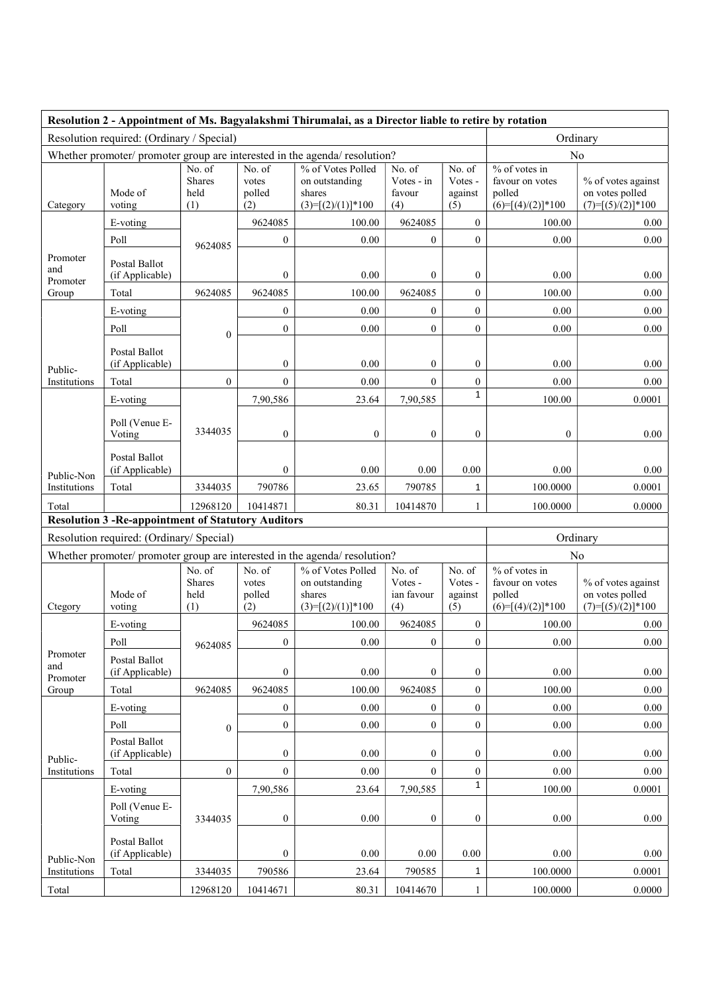|                                                                                  |                                                            |                                 |                                  | Resolution 2 - Appointment of Ms. Bagyalakshmi Thirumalai, as a Director liable to retire by rotation |                                       |                                     |                                                                     |                                                              |
|----------------------------------------------------------------------------------|------------------------------------------------------------|---------------------------------|----------------------------------|-------------------------------------------------------------------------------------------------------|---------------------------------------|-------------------------------------|---------------------------------------------------------------------|--------------------------------------------------------------|
|                                                                                  | Resolution required: (Ordinary / Special)                  |                                 |                                  |                                                                                                       |                                       |                                     |                                                                     | Ordinary                                                     |
| Whether promoter/ promoter group are interested in the agenda/ resolution?<br>No |                                                            |                                 |                                  |                                                                                                       |                                       |                                     |                                                                     |                                                              |
| Category                                                                         | Mode of<br>voting                                          | No. of<br>Shares<br>held<br>(1) | No. of<br>votes<br>polled<br>(2) | % of Votes Polled<br>on outstanding<br>shares<br>$(3)=[(2)/(1)]*100$                                  | No. of<br>Votes - in<br>favour<br>(4) | No. of<br>Votes -<br>against<br>(5) | $%$ of votes in<br>favour on votes<br>polled<br>$(6)=[(4)/(2)]*100$ | % of votes against<br>on votes polled<br>$(7)=[(5)/(2)]*100$ |
|                                                                                  | E-voting                                                   |                                 | 9624085                          | 100.00                                                                                                | 9624085                               | $\overline{0}$                      | 100.00                                                              | 0.00                                                         |
|                                                                                  | Poll                                                       | 9624085                         | $\boldsymbol{0}$                 | 0.00                                                                                                  | $\mathbf{0}$                          | $\boldsymbol{0}$                    | 0.00                                                                | 0.00                                                         |
| Promoter<br>and<br>Promoter                                                      | Postal Ballot<br>(if Applicable)                           |                                 | $\boldsymbol{0}$                 | 0.00                                                                                                  | $\boldsymbol{0}$                      | $\boldsymbol{0}$                    | 0.00                                                                | 0.00                                                         |
| Group                                                                            | Total                                                      | 9624085                         | 9624085                          | 100.00                                                                                                | 9624085                               | $\boldsymbol{0}$                    | 100.00                                                              | 0.00                                                         |
|                                                                                  | E-voting                                                   |                                 | $\boldsymbol{0}$                 | 0.00                                                                                                  | $\boldsymbol{0}$                      | $\boldsymbol{0}$                    | 0.00                                                                | 0.00                                                         |
|                                                                                  | Poll                                                       | $\boldsymbol{0}$                | $\boldsymbol{0}$                 | 0.00                                                                                                  | $\overline{0}$                        | $\boldsymbol{0}$                    | 0.00                                                                | 0.00                                                         |
| Public-                                                                          | Postal Ballot<br>(if Applicable)                           |                                 | $\mathbf{0}$                     | 0.00                                                                                                  | $\boldsymbol{0}$                      | $\mathbf{0}$                        | 0.00                                                                | 0.00                                                         |
| Institutions                                                                     | Total                                                      | $\boldsymbol{0}$                | $\theta$                         | 0.00                                                                                                  | $\Omega$                              | $\boldsymbol{0}$                    | 0.00                                                                | 0.00                                                         |
|                                                                                  | E-voting                                                   |                                 | 7,90,586                         | 23.64                                                                                                 | 7,90,585                              | $\mathbf{1}$                        | 100.00                                                              | 0.0001                                                       |
|                                                                                  | Poll (Venue E-<br>Voting                                   | 3344035                         | $\boldsymbol{0}$                 | 0                                                                                                     | $\boldsymbol{0}$                      | $\boldsymbol{0}$                    | $\boldsymbol{0}$                                                    | 0.00                                                         |
| Public-Non                                                                       | Postal Ballot<br>(if Applicable)                           |                                 | $\mathbf{0}$                     | 0.00                                                                                                  | 0.00                                  | 0.00                                | 0.00                                                                | 0.00                                                         |
| Institutions                                                                     | Total                                                      | 3344035                         | 790786                           | 23.65                                                                                                 | 790785                                | $\mathbf{1}$                        | 100.0000                                                            | 0.0001                                                       |
| Total                                                                            |                                                            | 12968120                        | 10414871                         | 80.31                                                                                                 | 10414870                              | $\mathbf{1}$                        | 100.0000                                                            | 0.0000                                                       |
|                                                                                  | <b>Resolution 3 - Re-appointment of Statutory Auditors</b> |                                 |                                  |                                                                                                       |                                       |                                     |                                                                     |                                                              |
|                                                                                  | Resolution required: (Ordinary/ Special)                   |                                 |                                  |                                                                                                       |                                       |                                     |                                                                     | Ordinary                                                     |
|                                                                                  |                                                            | No. of                          | No. of                           | Whether promoter/ promoter group are interested in the agenda/ resolution?<br>% of Votes Polled       | No. of                                | No. of                              | % of votes in                                                       | No                                                           |
| Ctegory                                                                          | Mode of<br>voting                                          | <b>Shares</b><br>held<br>(1)    | votes<br>polled<br>(2)           | on outstanding<br>shares<br>$(3)=[(2)/(1)]*100$                                                       | Votes -<br>ian favour<br>(4)          | Votes -<br>against<br>(5)           | favour on votes<br>polled<br>$(6)=[(4)/(2)]*100$                    | % of votes against<br>on votes polled<br>$(7)=[(5)/(2)]*100$ |
|                                                                                  | E-voting                                                   |                                 | 9624085                          | 100.00                                                                                                | 9624085                               | $\mathbf{0}$                        | 100.00                                                              | $0.00\,$                                                     |
|                                                                                  | Poll                                                       | 9624085                         | $\boldsymbol{0}$                 | $0.00\,$                                                                                              | $\boldsymbol{0}$                      | $\boldsymbol{0}$                    | $0.00\,$                                                            | 0.00                                                         |
| Promoter<br>and<br>Promoter                                                      | Postal Ballot<br>(if Applicable)                           |                                 | $\boldsymbol{0}$                 | $0.00\,$                                                                                              | $\overline{0}$                        | $\boldsymbol{0}$                    | $0.00\,$                                                            | 0.00                                                         |
| Group                                                                            | Total                                                      | 9624085                         | 9624085                          | 100.00                                                                                                | 9624085                               | $\boldsymbol{0}$                    | 100.00                                                              | 0.00                                                         |
|                                                                                  | E-voting                                                   |                                 | $\boldsymbol{0}$                 | 0.00                                                                                                  | $\overline{0}$                        | $\boldsymbol{0}$                    | 0.00                                                                | 0.00                                                         |
|                                                                                  | Poll                                                       | $\boldsymbol{0}$                | $\boldsymbol{0}$                 | 0.00                                                                                                  | $\boldsymbol{0}$                      | $\boldsymbol{0}$                    | $0.00\,$                                                            | $0.00\,$                                                     |
| Public-                                                                          | Postal Ballot<br>(if Applicable)                           |                                 | $\boldsymbol{0}$                 | $0.00\,$                                                                                              | $\mathbf{0}$                          | $\boldsymbol{0}$                    | 0.00                                                                | 0.00                                                         |
| Institutions                                                                     | Total                                                      | $\boldsymbol{0}$                | $\boldsymbol{0}$                 | $0.00\,$                                                                                              | $\boldsymbol{0}$                      | $\boldsymbol{0}$                    | $0.00\,$                                                            | $0.00\,$                                                     |
|                                                                                  | E-voting                                                   |                                 | 7,90,586                         | 23.64                                                                                                 | 7,90,585                              | $\mathbf{1}$                        | 100.00                                                              | 0.0001                                                       |
|                                                                                  | Poll (Venue E-<br>Voting                                   | 3344035                         | $\boldsymbol{0}$                 | 0.00                                                                                                  | $\overline{0}$                        | $\overline{0}$                      | 0.00                                                                | 0.00                                                         |
| Public-Non                                                                       | Postal Ballot<br>(if Applicable)                           |                                 | $\boldsymbol{0}$                 | 0.00                                                                                                  | 0.00                                  | 0.00                                | 0.00                                                                | 0.00                                                         |
| Institutions                                                                     | Total                                                      | 3344035                         | 790586                           | 23.64                                                                                                 | 790585                                | 1                                   | 100.0000                                                            | 0.0001                                                       |
| Total                                                                            |                                                            | 12968120                        | 10414671                         | 80.31                                                                                                 | 10414670                              | $\mathbf{1}$                        | 100.0000                                                            | 0.0000                                                       |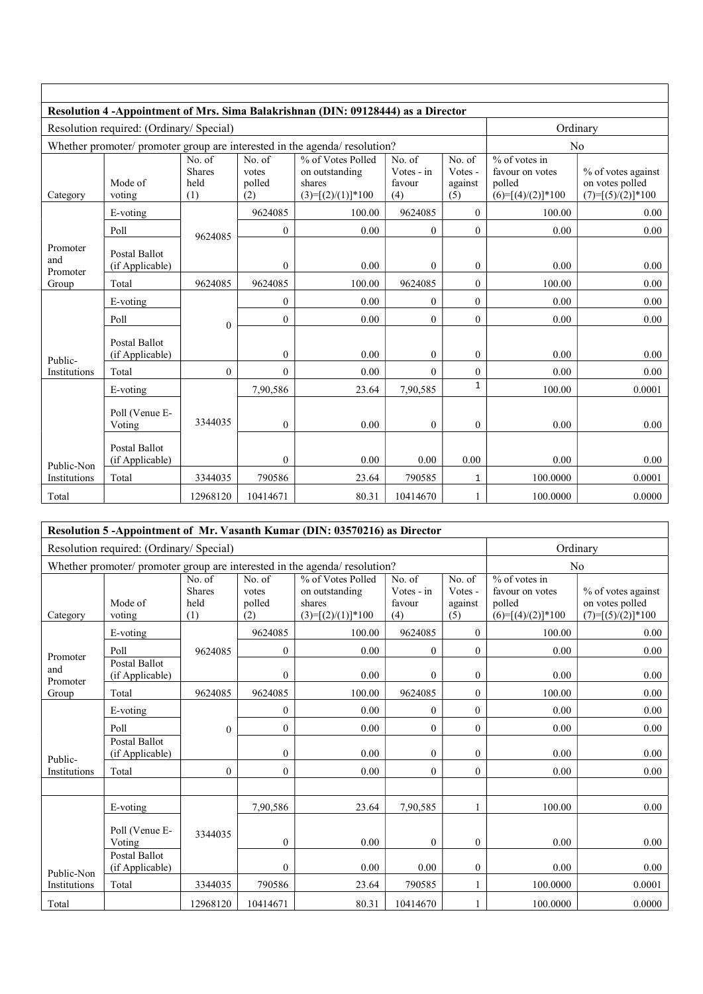| Resolution 4 - Appointment of Mrs. Sima Balakrishnan (DIN: 09128444) as a Director |                                          |                                        |                                  |                                                                            |                                       |                                     |                                                                     |                                                              |
|------------------------------------------------------------------------------------|------------------------------------------|----------------------------------------|----------------------------------|----------------------------------------------------------------------------|---------------------------------------|-------------------------------------|---------------------------------------------------------------------|--------------------------------------------------------------|
|                                                                                    | Resolution required: (Ordinary/ Special) |                                        | Ordinary                         |                                                                            |                                       |                                     |                                                                     |                                                              |
|                                                                                    |                                          |                                        |                                  | Whether promoter/ promoter group are interested in the agenda/ resolution? |                                       |                                     |                                                                     | N <sub>o</sub>                                               |
| Category                                                                           | Mode of<br>voting                        | No. of<br><b>Shares</b><br>held<br>(1) | No. of<br>votes<br>polled<br>(2) | % of Votes Polled<br>on outstanding<br>shares<br>$(3)=[(2)/(1)]*100$       | No. of<br>Votes - in<br>favour<br>(4) | No. of<br>Votes -<br>against<br>(5) | $%$ of votes in<br>favour on votes<br>polled<br>$(6)=[(4)/(2)]*100$ | % of votes against<br>on votes polled<br>$(7)=[(5)/(2)]*100$ |
|                                                                                    | E-voting                                 |                                        | 9624085                          | 100.00                                                                     | 9624085                               | $\mathbf{0}$                        | 100.00                                                              | 0.00                                                         |
|                                                                                    | Poll                                     | 9624085                                | $\overline{0}$                   | 0.00                                                                       | $\overline{0}$                        | $\overline{0}$                      | 0.00                                                                | 0.00                                                         |
| Promoter<br>and<br>Promoter                                                        | Postal Ballot<br>(if Applicable)         |                                        | $\mathbf{0}$                     | 0.00                                                                       | $\boldsymbol{0}$                      | $\boldsymbol{0}$                    | 0.00                                                                | 0.00                                                         |
| Group                                                                              | Total                                    | 9624085                                | 9624085                          | 100.00                                                                     | 9624085                               | 0                                   | 100.00                                                              | 0.00                                                         |
|                                                                                    | E-voting                                 |                                        | $\mathbf{0}$                     | 0.00                                                                       | $\boldsymbol{0}$                      | 0                                   | 0.00                                                                | 0.00                                                         |
|                                                                                    | Poll                                     | $\mathbf{0}$                           | $\overline{0}$                   | 0.00                                                                       | $\overline{0}$                        | $\overline{0}$                      | 0.00                                                                | 0.00                                                         |
| Public-                                                                            | Postal Ballot<br>(if Applicable)         |                                        | $\mathbf{0}$                     | 0.00                                                                       | $\overline{0}$                        | $\boldsymbol{0}$                    | 0.00                                                                | 0.00                                                         |
| Institutions                                                                       | Total                                    | $\mathbf{0}$                           | $\theta$                         | 0.00                                                                       | $\theta$                              | 0                                   | 0.00                                                                | 0.00                                                         |
|                                                                                    | E-voting                                 |                                        | 7,90,586                         | 23.64                                                                      | 7,90,585                              | $\mathbf 1$                         | 100.00                                                              | 0.0001                                                       |
|                                                                                    | Poll (Venue E-<br>Voting                 | 3344035                                | $\Omega$                         | 0.00                                                                       | $\mathbf{0}$                          | $\overline{0}$                      | 0.00                                                                | 0.00                                                         |
| Public-Non                                                                         | Postal Ballot<br>(if Applicable)         |                                        | $\theta$                         | 0.00                                                                       | 0.00                                  | 0.00                                | 0.00                                                                | 0.00                                                         |
| Institutions                                                                       | Total                                    | 3344035                                | 790586                           | 23.64                                                                      | 790585                                | 1                                   | 100.0000                                                            | 0.0001                                                       |
| Total                                                                              |                                          | 12968120                               | 10414671                         | 80.31                                                                      | 10414670                              |                                     | 100.0000                                                            | 0.0000                                                       |

| Resolution 5-Appointment of Mr. Vasanth Kumar (DIN: 03570216) as Director |                                          |                                        |                                  |                                                                            |                                       |                                     |                                                                     |                                                              |
|---------------------------------------------------------------------------|------------------------------------------|----------------------------------------|----------------------------------|----------------------------------------------------------------------------|---------------------------------------|-------------------------------------|---------------------------------------------------------------------|--------------------------------------------------------------|
|                                                                           | Resolution required: (Ordinary/ Special) |                                        | Ordinary                         |                                                                            |                                       |                                     |                                                                     |                                                              |
|                                                                           |                                          |                                        |                                  | Whether promoter/ promoter group are interested in the agenda/ resolution? |                                       |                                     |                                                                     | No                                                           |
| Category                                                                  | Mode of<br>voting                        | No. of<br><b>Shares</b><br>held<br>(1) | No. of<br>votes<br>polled<br>(2) | % of Votes Polled<br>on outstanding<br>shares<br>$(3)=[(2)/(1)]*100$       | No. of<br>Votes - in<br>favour<br>(4) | No. of<br>Votes -<br>against<br>(5) | $%$ of votes in<br>favour on votes<br>polled<br>$(6)=[(4)/(2)]*100$ | % of votes against<br>on votes polled<br>$(7)=[(5)/(2)]*100$ |
|                                                                           | E-voting                                 |                                        | 9624085                          | 100.00                                                                     | 9624085                               | $\overline{0}$                      | 100.00                                                              | 0.00                                                         |
| Promoter                                                                  | Poll                                     | 9624085                                | $\mathbf{0}$                     | 0.00                                                                       | $\boldsymbol{0}$                      | 0                                   | 0.00                                                                | 0.00                                                         |
| and<br>Promoter                                                           | <b>Postal Ballot</b><br>(if Applicable)  |                                        | $\mathbf{0}$                     | 0.00                                                                       | $\mathbf{0}$                          | $\boldsymbol{0}$                    | 0.00                                                                | 0.00                                                         |
| Group                                                                     | Total                                    | 9624085                                | 9624085                          | 100.00                                                                     | 9624085                               | $\overline{0}$                      | 100.00                                                              | 0.00                                                         |
|                                                                           | E-voting                                 |                                        | $\overline{0}$                   | 0.00                                                                       | $\boldsymbol{0}$                      | $\boldsymbol{0}$                    | 0.00                                                                | 0.00                                                         |
|                                                                           | Poll                                     | $\boldsymbol{0}$                       | $\overline{0}$                   | 0.00                                                                       | $\boldsymbol{0}$                      | $\boldsymbol{0}$                    | 0.00                                                                | 0.00                                                         |
| Public-                                                                   | <b>Postal Ballot</b><br>(if Applicable)  |                                        | $\overline{0}$                   | 0.00                                                                       | $\overline{0}$                        | $\overline{0}$                      | 0.00                                                                | 0.00                                                         |
| Institutions                                                              | Total                                    | $\overline{0}$                         | $\overline{0}$                   | 0.00                                                                       | $\overline{0}$                        | $\overline{0}$                      | 0.00                                                                | 0.00                                                         |
|                                                                           |                                          |                                        |                                  |                                                                            |                                       |                                     |                                                                     |                                                              |
|                                                                           | E-voting                                 |                                        | 7,90,586                         | 23.64                                                                      | 7,90,585                              |                                     | 100.00                                                              | 0.00                                                         |
|                                                                           | Poll (Venue E-<br>Voting                 | 3344035                                | $\overline{0}$                   | 0.00                                                                       | $\overline{0}$                        | 0                                   | 0.00                                                                | 0.00                                                         |
| Public-Non                                                                | Postal Ballot<br>(if Applicable)         |                                        | $\mathbf{0}$                     | 0.00                                                                       | 0.00                                  | 0                                   | 0.00                                                                | 0.00                                                         |
| Institutions                                                              | Total                                    | 3344035                                | 790586                           | 23.64                                                                      | 790585                                | $\mathbf{1}$                        | 100.0000                                                            | 0.0001                                                       |
| Total                                                                     |                                          | 12968120                               | 10414671                         | 80.31                                                                      | 10414670                              |                                     | 100.0000                                                            | 0.0000                                                       |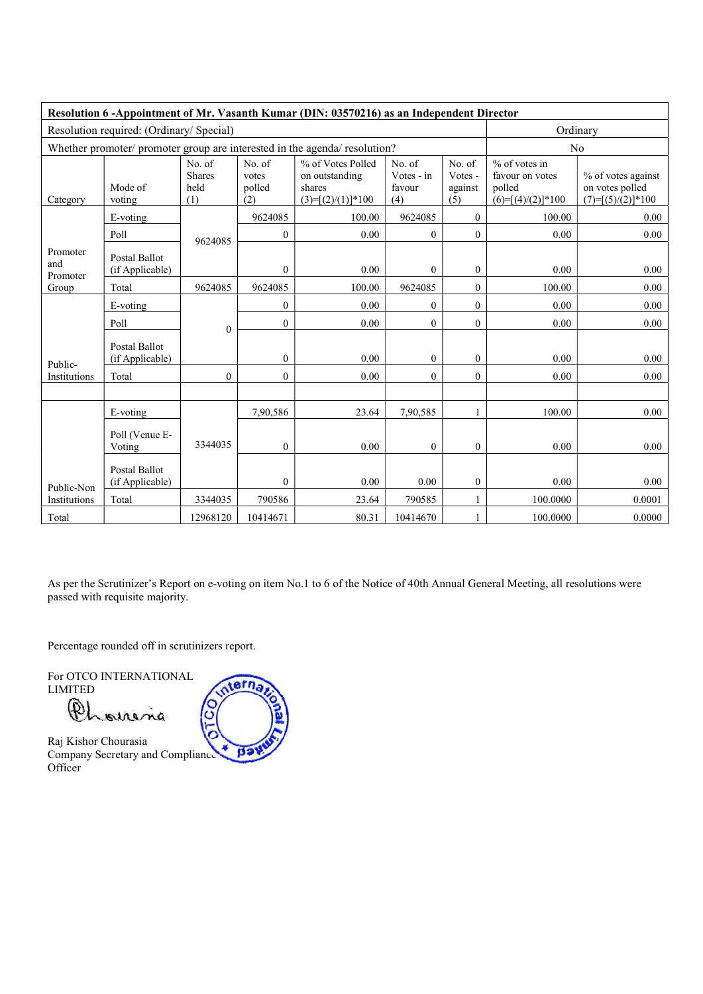| Resolution 6 -Appointment of Mr. Vasanth Kumar (DIN: 03570216) as an Independent Director |                                                                            |                                        |                                  |                                                                      |                                       |                                     |                                                                     |                                                              |
|-------------------------------------------------------------------------------------------|----------------------------------------------------------------------------|----------------------------------------|----------------------------------|----------------------------------------------------------------------|---------------------------------------|-------------------------------------|---------------------------------------------------------------------|--------------------------------------------------------------|
|                                                                                           | Resolution required: (Ordinary/ Special)                                   | Ordinary                               |                                  |                                                                      |                                       |                                     |                                                                     |                                                              |
|                                                                                           | Whether promoter/ promoter group are interested in the agenda/ resolution? |                                        | N <sub>o</sub>                   |                                                                      |                                       |                                     |                                                                     |                                                              |
| Category                                                                                  | Mode of<br>voting                                                          | No. of<br><b>Shares</b><br>held<br>(1) | No. of<br>votes<br>polled<br>(2) | % of Votes Polled<br>on outstanding<br>shares<br>$(3)=[(2)/(1)]*100$ | No. of<br>Votes - in<br>favour<br>(4) | No. of<br>Votes -<br>against<br>(5) | $%$ of votes in<br>favour on votes<br>polled<br>$(6)=[(4)/(2)]*100$ | % of votes against<br>on votes polled<br>$(7)=[(5)/(2)]*100$ |
|                                                                                           | E-voting                                                                   |                                        | 9624085                          | 100.00                                                               | 9624085                               | $\overline{0}$                      | 100.00                                                              | 0.00                                                         |
|                                                                                           | Poll                                                                       | 9624085                                | $\mathbf{0}$                     | 0.00                                                                 | $\theta$                              | $\mathbf{0}$                        | 0.00                                                                | 0.00                                                         |
| Promoter<br>and<br>Promoter                                                               | Postal Ballot<br>(if Applicable)                                           |                                        | $\mathbf{0}$                     | 0.00                                                                 | $\mathbf{0}$                          | $\boldsymbol{0}$                    | 0.00                                                                | 0.00                                                         |
| Group                                                                                     | Total                                                                      | 9624085                                | 9624085                          | 100.00                                                               | 9624085                               | $\overline{0}$                      | 100.00                                                              | 0.00                                                         |
|                                                                                           | E-voting                                                                   |                                        | $\mathbf{0}$                     | 0.00                                                                 | $\overline{0}$                        | $\overline{0}$                      | 0.00                                                                | 0.00                                                         |
|                                                                                           | Poll                                                                       | $\mathbf{0}$                           | $\overline{0}$                   | 0.00                                                                 | $\overline{0}$                        | $\overline{0}$                      | 0.00                                                                | 0.00                                                         |
| Public-                                                                                   | Postal Ballot<br>(if Applicable)                                           |                                        | $\mathbf{0}$                     | 0.00                                                                 | $\mathbf{0}$                          | $\mathbf{0}$                        | 0.00                                                                | 0.00                                                         |
| Institutions                                                                              | Total                                                                      | $\mathbf{0}$                           | $\overline{0}$                   | 0.00                                                                 | $\theta$                              | $\overline{0}$                      | 0.00                                                                | 0.00                                                         |
|                                                                                           | E-voting                                                                   |                                        | 7,90,586                         | 23.64                                                                | 7,90,585                              | $\mathbf{1}$                        | 100.00                                                              | 0.00                                                         |
|                                                                                           | Poll (Venue E-<br>Voting                                                   | 3344035                                | $\theta$                         | 0.00                                                                 | $\overline{0}$                        | $\boldsymbol{0}$                    | 0.00                                                                | 0.00                                                         |
| Public-Non                                                                                | Postal Ballot<br>(if Applicable)                                           |                                        | $\overline{0}$                   | 0.00                                                                 | 0.00                                  | $\mathbf{0}$                        | 0.00                                                                | 0.00                                                         |
| Institutions                                                                              | Total                                                                      | 3344035                                | 790586                           | 23.64                                                                | 790585                                | $\mathbf{1}$                        | 100.0000                                                            | 0.0001                                                       |
| Total                                                                                     |                                                                            | 12968120                               | 10414671                         | 80.31                                                                | 10414670                              | $\mathbf{1}$                        | 100.0000                                                            | 0.0000                                                       |

As per the Scrutinizer's Report on e-voting on item No.1 to 6 of the Notice of 40th Annual General Meeting, all resolutions were passed with requisite majority.

Percentage rounded off in scrutinizers report.

For OTCO INTERNATIONAL LIMITED

 $\mathfrak{g}_{\lambda}$ ALA na

Raj Kishor Chourasia Company Secretary and Compliance **Officer** 

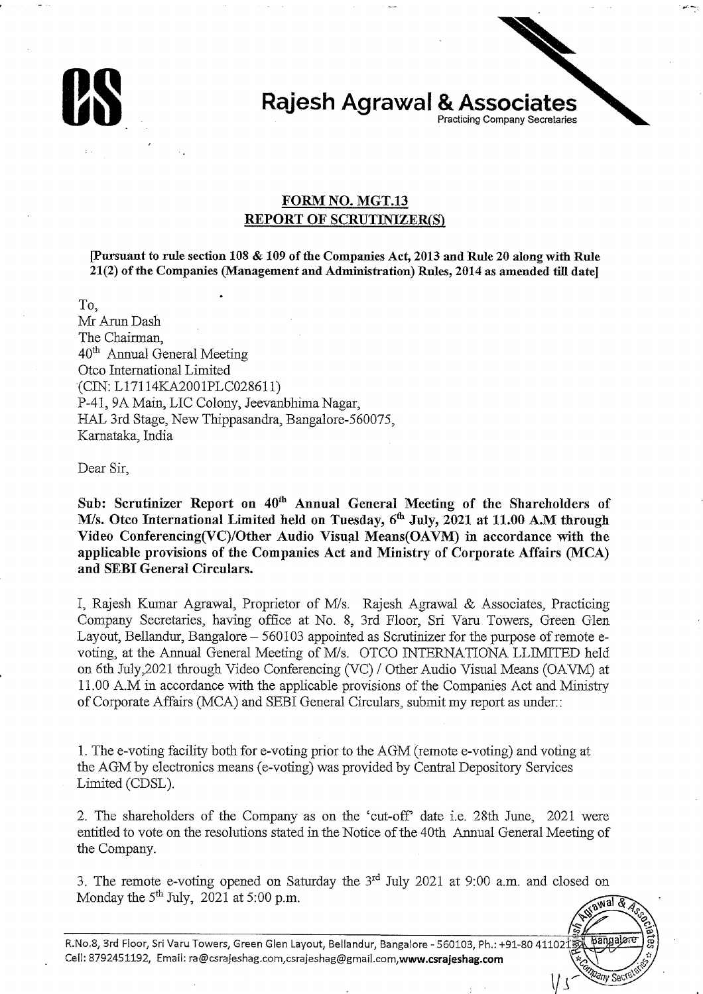

## **Rajesh Agrawal & Associates** Practicing Company Secretaries

## **FORM NO. MGT.13 REPORT OF SCRUTINIZER(S)**

[Pursuant to rule section 108 & 109 of the Companies Act, 2013 and Rule 20 along with Rule 21(2) of the Companies (Management and Administration) Rules, 2014 as amended till date]

To.

Mr Arun Dash The Chairman. 40<sup>th</sup> Annual General Meeting Otco International Limited (CIN: L17114KA2001PLC028611) P-41, 9A Main, LIC Colony, Jeevanbhima Nagar, HAL 3rd Stage, New Thippasandra, Bangalore-560075, Karnataka, India

Dear Sir,

Sub: Scrutinizer Report on 40<sup>th</sup> Annual General Meeting of the Shareholders of M/s. Otco International Limited held on Tuesday, 6<sup>th</sup> July, 2021 at 11.00 A.M through Video Conferencing(VC)/Other Audio Visual Means(OAVM) in accordance with the applicable provisions of the Companies Act and Ministry of Corporate Affairs (MCA) and SEBI General Circulars.

I, Rajesh Kumar Agrawal, Proprietor of M/s. Rajesh Agrawal & Associates, Practicing Company Secretaries, having office at No. 8, 3rd Floor, Sri Varu Towers, Green Glen Layout, Bellandur, Bangalore – 560103 appointed as Scrutinizer for the purpose of remote evoting, at the Annual General Meeting of M/s. OTCO INTERNATIONA LLIMITED held on 6th July, 2021 through Video Conferencing (VC) / Other Audio Visual Means (OAVM) at 11.00 A.M in accordance with the applicable provisions of the Companies Act and Ministry of Corporate Affairs (MCA) and SEBI General Circulars, submit my report as under.:

1. The e-voting facility both for e-voting prior to the AGM (remote e-voting) and voting at the AGM by electronics means (e-voting) was provided by Central Depository Services Limited (CDSL).

2. The shareholders of the Company as on the 'cut-off' date i.e. 28th June, 2021 were entitled to vote on the resolutions stated in the Notice of the 40th Annual General Meeting of the Company.

3. The remote e-voting opened on Saturday the 3<sup>rd</sup> July 2021 at 9:00 a.m. and closed on Monday the  $5<sup>th</sup>$  July, 2021 at 5:00 p.m. awal & Ar

**Mpany Sect** 

 $V<sub>1</sub>$ 

R.No.8, 3rd Floor, Sri Varu Towers, Green Glen Layout, Bellandur, Bangalore - 560103, Ph.: +91-80 411021 Cell: 8792451192, Email: ra@csrajeshag.com.csrajeshag@gmail.com.www.csrajeshag.com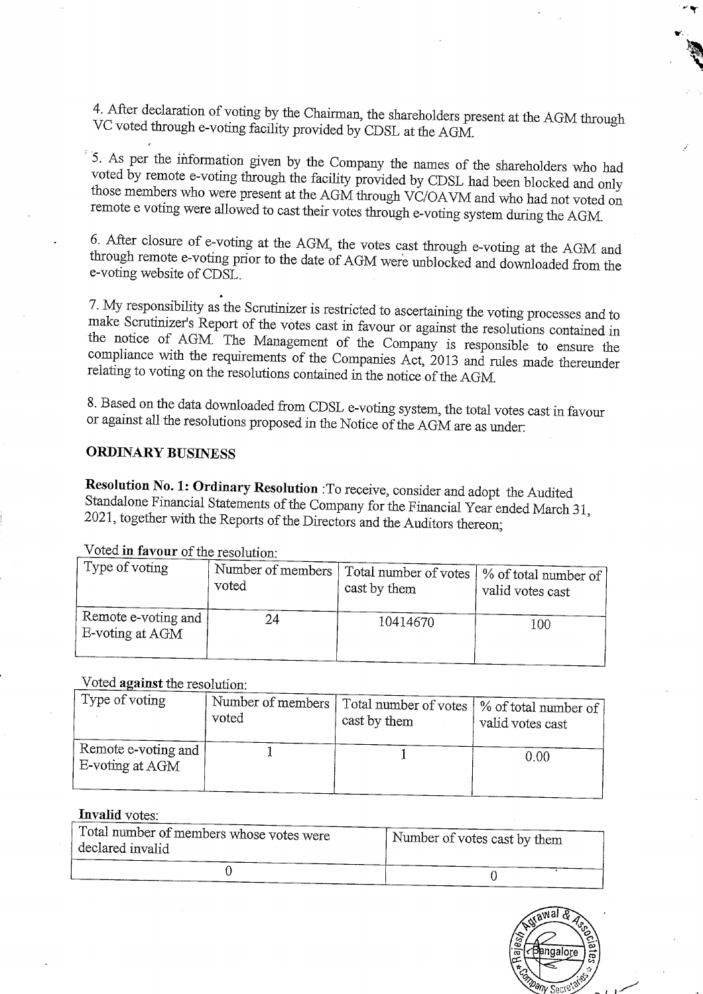4. After declaration of voting by the Chairman, the shareholders present at the AGM through VC voted through e-voting facility provided by CDSL at the AGM.

5. As per the information given by the Company the names of the shareholders who had voted by remote e-voting through the facility provided by CDSL had been blocked and only those members who were present at the AGM through VC/OAVM and who had not voted on remote e voting were allowed to cast their votes through e-voting system during the AGM.

6. After closure of e-voting at the AGM, the votes cast through e-voting at the AGM and through remote e-voting prior to the date of AGM were unblocked and downloaded from the e-voting website of CDSL.

7. My responsibility as the Scrutinizer is restricted to ascertaining the voting processes and to make Scrutinizer's Report of the votes cast in favour or against the resolutions contained in the notice of AGM. The Management of the Company is responsible to ensure the compliance with the requirements of the Companies Act, 2013 and rules made thereunder relating to voting on the resolutions contained in the notice of the AGM.

8. Based on the data downloaded from CDSL e-voting system, the total votes cast in favour or against all the resolutions proposed in the Notice of the AGM are as under:

## **ORDINARY BUSINESS**

Resolution No. 1: Ordinary Resolution : To receive, consider and adopt the Audited Standalone Financial Statements of the Company for the Financial Year ended March 31, 2021, together with the Reports of the Directors and the Auditors thereon;

| Type of voting                         | Number of members' | Total number of votes | V of total number of |
|----------------------------------------|--------------------|-----------------------|----------------------|
|                                        | voted              | cast by them          | valid votes cast     |
| Remote e-voting and<br>E-voting at AGM | 24                 | 10414670              | 100                  |

Voted in favour of the resolution.

#### Voted against the resolution:

| Type of voting                         | Number of members  <br>voted | Total number of votes   % of total number of<br>cast by them | valid votes cast |
|----------------------------------------|------------------------------|--------------------------------------------------------------|------------------|
| Remote e-voting and<br>E-voting at AGM |                              |                                                              | 0.00             |

#### **Invalid** votes:

| Total number of members whose votes were<br>declared invalid | Number of votes cast by them |  |
|--------------------------------------------------------------|------------------------------|--|
|                                                              |                              |  |

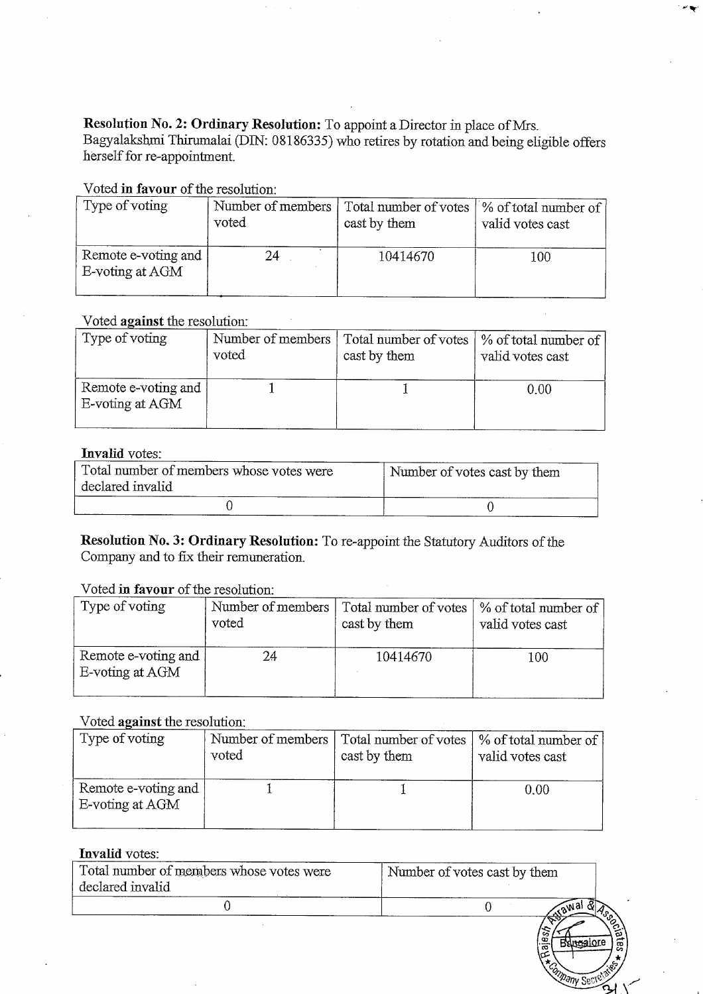Resolution No. 2: Ordinary Resolution: To appoint a Director in place of Mrs.<br>Bagyalakshmi Thirumalai (DIN: 08186335) who retires by rotation and being eligible offers herself for re-appointment.

## Voted in favour of the resolution:

| Type of voting                         | Number of members | Total number of votes | % of total number of |
|----------------------------------------|-------------------|-----------------------|----------------------|
|                                        | voted             | cast by them          | valid votes cast     |
| Remote e-voting and<br>E-voting at AGM | 24                | 10414670              | 100                  |

## Voted against the resolution:

| Type of voting                         | Number of members | Total number of votes | % of total number of |
|----------------------------------------|-------------------|-----------------------|----------------------|
|                                        | voted             | cast by them          | valid votes cast     |
| Remote e-voting and<br>E-voting at AGM |                   |                       | 0.00                 |

#### Invalid votes:

| Total number of members whose votes were<br>declared invalid | Number of votes cast by them |  |
|--------------------------------------------------------------|------------------------------|--|
|                                                              |                              |  |

Resolution No. 3: Ordinary Resolution: To re-appoint the Statutory Auditors of the Company and to fix their remuneration.

#### Voted in favour of the resolution:

| Type of voting                         | voted | Number of members   Total number of votes  <br>cast by them | \% of total number of<br>valid votes cast |
|----------------------------------------|-------|-------------------------------------------------------------|-------------------------------------------|
| Remote e-voting and<br>E-voting at AGM | 24    | 10414670                                                    | 100                                       |

## Voted against the resolution:

| Type of voting                         | voted | Number of members   Total number of votes  <br>cast by them | \% of total number of<br>valid votes cast |
|----------------------------------------|-------|-------------------------------------------------------------|-------------------------------------------|
| Remote e-voting and<br>E-voting at AGM |       |                                                             | 0.00                                      |

### Invalid votes:

| Total number of members whose votes were<br>declared invalid | Number of votes cast by them |
|--------------------------------------------------------------|------------------------------|
|                                                              | $\sim$ a <sup>Wa'</sup>      |
|                                                              | အ<br>.ഇ                      |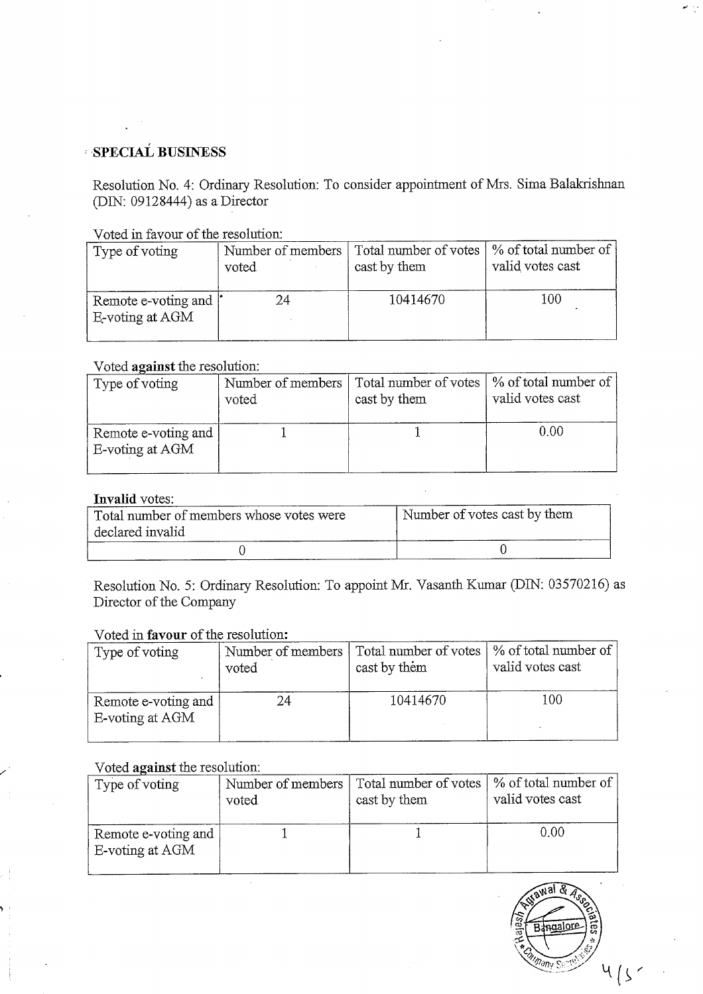# **SPECIAL BUSINESS**

Resolution No. 4: Ordinary Resolution: To consider appointment of Mrs. Sima Balakrishnan (DIN: 09128444) as a Director

Voted in favour of the resolution:

| Type of voting                           | Number of members | Total number of votes | % of total number of |
|------------------------------------------|-------------------|-----------------------|----------------------|
|                                          | voted             | cast by them          | valid votes cast     |
| Remote e-voting and  <br>E-voting at AGM | 24                | 10414670              | 100                  |

#### Voted against the resolution:

| Type of voting                         | Number of members | Total number of votes | % of total number of |
|----------------------------------------|-------------------|-----------------------|----------------------|
|                                        | voted             | cast by them          | valid votes cast     |
| Remote e-voting and<br>E-voting at AGM |                   |                       | 0.00                 |

## **Invalid votes:**

| Total number of members whose votes were | Number of votes cast by them |  |
|------------------------------------------|------------------------------|--|
| declared invalid                         |                              |  |
|                                          |                              |  |

Resolution No. 5: Ordinary Resolution: To appoint Mr. Vasanth Kumar (DIN: 03570216) as Director of the Company

#### Voted in favour of the resolution:

| Type of voting                         | Number of members | Total number of votes | % of total number of |
|----------------------------------------|-------------------|-----------------------|----------------------|
|                                        | voted             | cast by them          | valid votes cast     |
| Remote e-voting and<br>E-voting at AGM | 24                | 10414670              | 100                  |

#### Voted against the resolution:

| Type of voting                         | voted | Number of members   Total number of votes   % of total number of<br>cast by them | valid votes cast |
|----------------------------------------|-------|----------------------------------------------------------------------------------|------------------|
| Remote e-voting and<br>E-voting at AGM |       |                                                                                  | 0.00             |